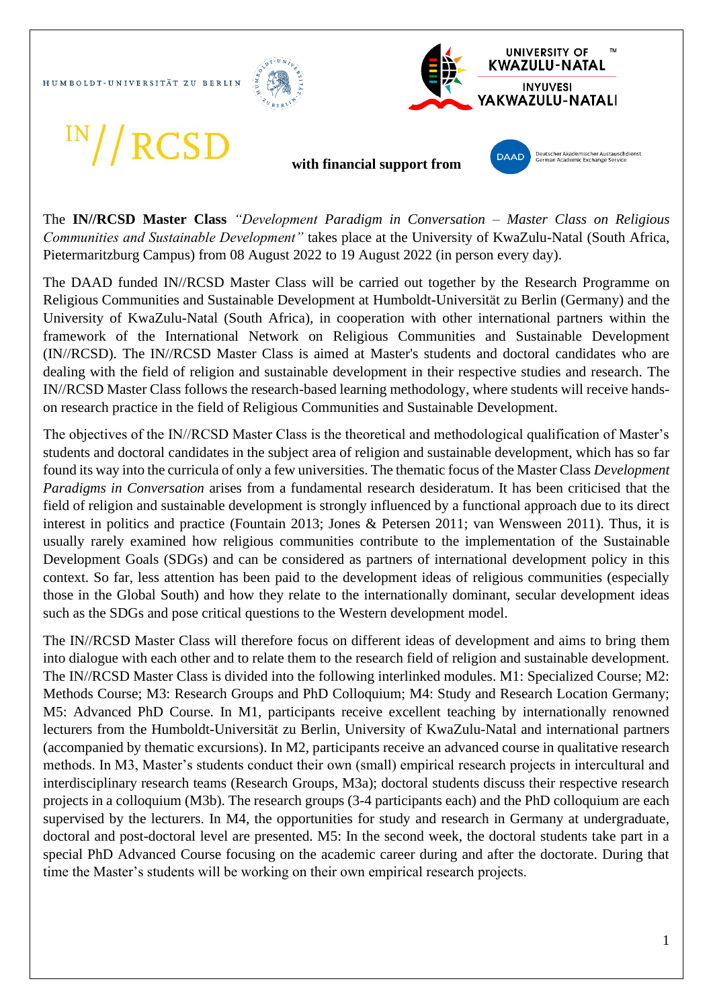HUMBOLDT-UNIVERSITÄT ZU BERLIN





The **IN//RCSD Master Class** *"Development Paradigm in Conversation – Master Class on Religious Communities and Sustainable Development"* takes place at the University of KwaZulu-Natal (South Africa, Pietermaritzburg Campus) from 08 August 2022 to 19 August 2022 (in person every day).

The DAAD funded IN//RCSD Master Class will be carried out together by the Research Programme on Religious Communities and Sustainable Development at Humboldt-Universität zu Berlin (Germany) and the University of KwaZulu-Natal (South Africa), in cooperation with other international partners within the framework of the International Network on Religious Communities and Sustainable Development (IN//RCSD). The IN//RCSD Master Class is aimed at Master's students and doctoral candidates who are dealing with the field of religion and sustainable development in their respective studies and research. The IN//RCSD Master Class follows the research-based learning methodology, where students will receive handson research practice in the field of Religious Communities and Sustainable Development.

The objectives of the IN//RCSD Master Class is the theoretical and methodological qualification of Master's students and doctoral candidates in the subject area of religion and sustainable development, which has so far found its way into the curricula of only a few universities. The thematic focus of the Master Class *Development Paradigms in Conversation* arises from a fundamental research desideratum. It has been criticised that the field of religion and sustainable development is strongly influenced by a functional approach due to its direct interest in politics and practice (Fountain 2013; Jones & Petersen 2011; van Wensween 2011). Thus, it is usually rarely examined how religious communities contribute to the implementation of the Sustainable Development Goals (SDGs) and can be considered as partners of international development policy in this context. So far, less attention has been paid to the development ideas of religious communities (especially those in the Global South) and how they relate to the internationally dominant, secular development ideas such as the SDGs and pose critical questions to the Western development model.

The IN//RCSD Master Class will therefore focus on different ideas of development and aims to bring them into dialogue with each other and to relate them to the research field of religion and sustainable development. The IN//RCSD Master Class is divided into the following interlinked modules. M1: Specialized Course; M2: Methods Course; M3: Research Groups and PhD Colloquium; M4: Study and Research Location Germany; M5: Advanced PhD Course. In M1, participants receive excellent teaching by internationally renowned lecturers from the Humboldt-Universität zu Berlin, University of KwaZulu-Natal and international partners (accompanied by thematic excursions). In M2, participants receive an advanced course in qualitative research methods. In M3, Master's students conduct their own (small) empirical research projects in intercultural and interdisciplinary research teams (Research Groups, M3a); doctoral students discuss their respective research projects in a colloquium (M3b). The research groups (3-4 participants each) and the PhD colloquium are each supervised by the lecturers. In M4, the opportunities for study and research in Germany at undergraduate, doctoral and post-doctoral level are presented. M5: In the second week, the doctoral students take part in a special PhD Advanced Course focusing on the academic career during and after the doctorate. During that time the Master's students will be working on their own empirical research projects.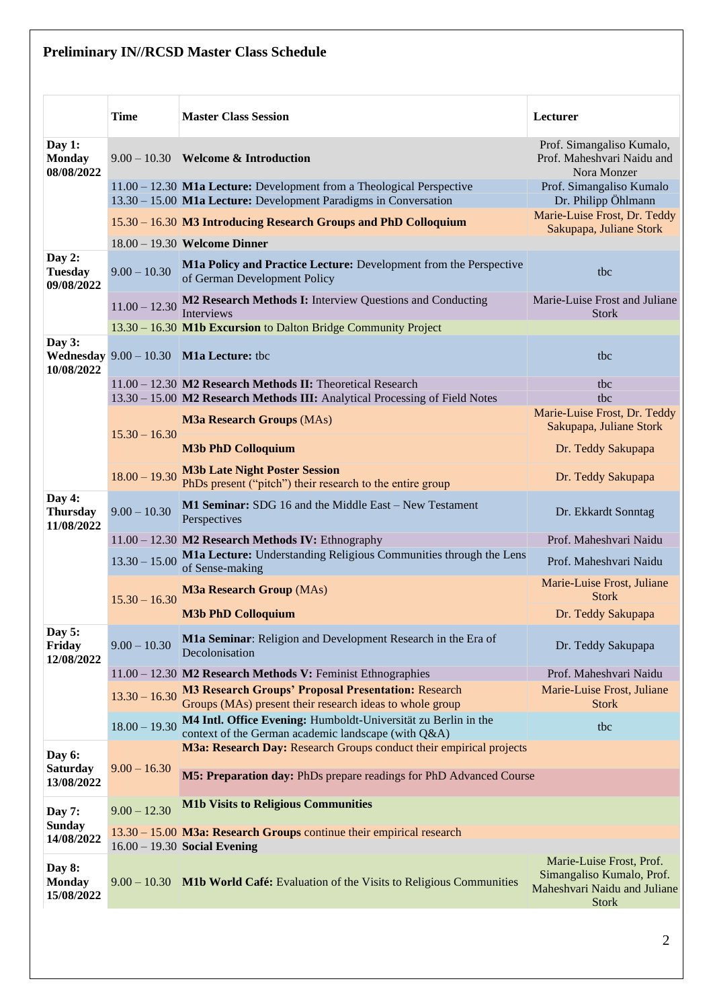## **Preliminary IN//RCSD Master Class Schedule**

|                                         | <b>Time</b>     | <b>Master Class Session</b>                                                                                                                 | Lecturer                                                                                              |
|-----------------------------------------|-----------------|---------------------------------------------------------------------------------------------------------------------------------------------|-------------------------------------------------------------------------------------------------------|
| Day 1:<br><b>Monday</b><br>08/08/2022   |                 | $9.00 - 10.30$ Welcome & Introduction                                                                                                       | Prof. Simangaliso Kumalo,<br>Prof. Maheshvari Naidu and<br>Nora Monzer                                |
|                                         |                 | $11.00 - 12.30$ M1a Lecture: Development from a Theological Perspective<br>13.30 – 15.00 M1a Lecture: Development Paradigms in Conversation | Prof. Simangaliso Kumalo<br>Dr. Philipp Öhlmann                                                       |
|                                         |                 | 15.30 - 16.30 M3 Introducing Research Groups and PhD Colloquium                                                                             | Marie-Luise Frost, Dr. Teddy                                                                          |
|                                         |                 | 18.00 - 19.30 Welcome Dinner                                                                                                                | Sakupapa, Juliane Stork                                                                               |
| Day 2:<br><b>Tuesday</b><br>09/08/2022  | $9.00 - 10.30$  | M1a Policy and Practice Lecture: Development from the Perspective<br>of German Development Policy                                           | tbc                                                                                                   |
|                                         |                 | 11.00 – 12.30 $\frac{\text{M2} \text{ Research Methods I:}\n}$ Interview Questions and Conducting<br>Interviews                             | Marie-Luise Frost and Juliane<br><b>Stork</b>                                                         |
|                                         |                 | 13.30 - 16.30 M1b Excursion to Dalton Bridge Community Project                                                                              |                                                                                                       |
| Day $3:$<br>10/08/2022                  |                 | <b>Wednesday</b> $9.00 - 10.30$ <b>M1a Lecture:</b> tbc                                                                                     | tbc                                                                                                   |
|                                         |                 | 11.00 - 12.30 M2 Research Methods II: Theoretical Research                                                                                  | tbc                                                                                                   |
|                                         |                 | 13.30 - 15.00 M2 Research Methods III: Analytical Processing of Field Notes<br><b>M3a Research Groups (MAs)</b>                             | the<br>Marie-Luise Frost, Dr. Teddy<br>Sakupapa, Juliane Stork                                        |
|                                         | $15.30 - 16.30$ | <b>M3b PhD Colloquium</b>                                                                                                                   | Dr. Teddy Sakupapa                                                                                    |
|                                         | $18.00 - 19.30$ | <b>M3b Late Night Poster Session</b><br>PhDs present ("pitch") their research to the entire group                                           | Dr. Teddy Sakupapa                                                                                    |
| Day 4:<br><b>Thursday</b><br>11/08/2022 | $9.00 - 10.30$  | M1 Seminar: SDG 16 and the Middle East - New Testament<br>Perspectives                                                                      | Dr. Ekkardt Sonntag                                                                                   |
|                                         |                 | 11.00 - 12.30 M2 Research Methods IV: Ethnography                                                                                           | Prof. Maheshvari Naidu                                                                                |
|                                         | $13.30 - 15.00$ | M1a Lecture: Understanding Religious Communities through the Lens<br>of Sense-making                                                        | Prof. Maheshvari Naidu                                                                                |
|                                         | $15.30 - 16.30$ | <b>M3a Research Group (MAs)</b>                                                                                                             | Marie-Luise Frost, Juliane<br><b>Stork</b>                                                            |
|                                         |                 | <b>M3b PhD Colloquium</b>                                                                                                                   | Dr. Teddy Sakupapa                                                                                    |
| Day 5:<br>Friday<br>12/08/2022          | $9.00 - 10.30$  | M1a Seminar: Religion and Development Research in the Era of<br>Decolonisation                                                              | Dr. Teddy Sakupapa                                                                                    |
|                                         |                 | 11.00 - 12.30 M2 Research Methods V: Feminist Ethnographies                                                                                 | Prof. Maheshvari Naidu                                                                                |
|                                         | $13.30 - 16.30$ | <b>M3 Research Groups' Proposal Presentation: Research</b><br>Groups (MAs) present their research ideas to whole group                      | Marie-Luise Frost, Juliane<br><b>Stork</b>                                                            |
|                                         | $18.00 - 19.30$ | M4 Intl. Office Evening: Humboldt-Universität zu Berlin in the<br>context of the German academic landscape (with Q&A)                       | tbc                                                                                                   |
| Day 6:                                  |                 | M3a: Research Day: Research Groups conduct their empirical projects                                                                         |                                                                                                       |
| <b>Saturday</b><br>13/08/2022           | $9.00 - 16.30$  | M5: Preparation day: PhDs prepare readings for PhD Advanced Course                                                                          |                                                                                                       |
| <b>Day 7:</b>                           | $9.00 - 12.30$  | <b>M1b Visits to Religious Communities</b>                                                                                                  |                                                                                                       |
| <b>Sunday</b><br>14/08/2022             |                 | 13.30 – 15.00 M3a: Research Groups continue their empirical research<br>$16.00 - 19.30$ Social Evening                                      |                                                                                                       |
| Day 8:<br><b>Monday</b><br>15/08/2022   |                 | 9.00 – 10.30 M1b World Café: Evaluation of the Visits to Religious Communities                                                              | Marie-Luise Frost, Prof.<br>Simangaliso Kumalo, Prof.<br>Maheshvari Naidu and Juliane<br><b>Stork</b> |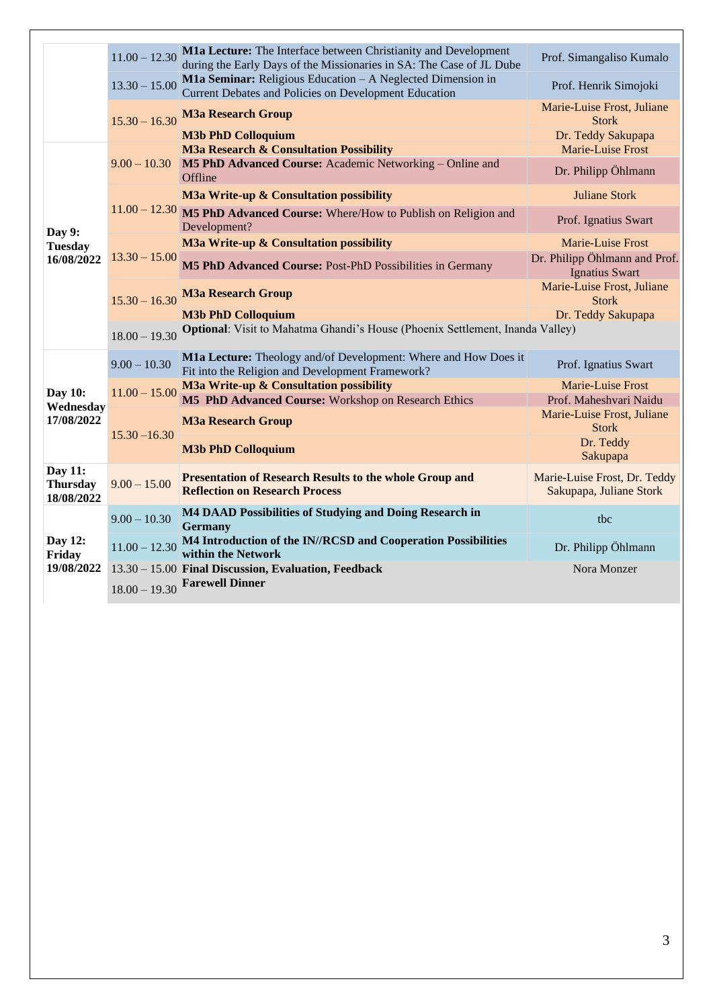|                                          | $11.00 - 12.30$                    | M1a Lecture: The Interface between Christianity and Development<br>during the Early Days of the Missionaries in SA: The Case of JL Dube | Prof. Simangaliso Kumalo                                |
|------------------------------------------|------------------------------------|-----------------------------------------------------------------------------------------------------------------------------------------|---------------------------------------------------------|
|                                          | $13.30 - 15.00$                    | M1a Seminar: Religious Education - A Neglected Dimension in<br>Current Debates and Policies on Development Education                    | Prof. Henrik Simojoki                                   |
|                                          | $15.30 - 16.30$                    | <b>M3a Research Group</b>                                                                                                               | Marie-Luise Frost, Juliane<br><b>Stork</b>              |
|                                          |                                    | <b>M3b PhD Colloquium</b><br><b>M3a Research &amp; Consultation Possibility</b>                                                         | Dr. Teddy Sakupapa<br>Marie-Luise Frost                 |
|                                          |                                    | 9.00 - 10.30 M5 PhD Advanced Course: Academic Networking - Online and<br>Offline                                                        | Dr. Philipp Öhlmann                                     |
| Day 9:<br><b>Tuesday</b><br>16/08/2022   |                                    | M3a Write-up & Consultation possibility                                                                                                 | <b>Juliane Stork</b>                                    |
|                                          |                                    | $11.00 - 12.30$ M5 PhD Advanced Course: Where/How to Publish on Religion and<br>Development?                                            | Prof. Ignatius Swart                                    |
|                                          |                                    | M3a Write-up & Consultation possibility                                                                                                 | <b>Marie-Luise Frost</b>                                |
|                                          | $13.30 - 15.00$<br>$15.30 - 16.30$ | M5 PhD Advanced Course: Post-PhD Possibilities in Germany                                                                               | Dr. Philipp Öhlmann and Prof.<br><b>Ignatius Swart</b>  |
|                                          |                                    | <b>M3a Research Group</b>                                                                                                               | Marie-Luise Frost, Juliane<br><b>Stork</b>              |
|                                          |                                    | <b>M3b PhD Colloquium</b>                                                                                                               | Dr. Teddy Sakupapa                                      |
| Day 10:<br>Wednesday<br>17/08/2022       | $18.00 - 19.30$                    | Optional: Visit to Mahatma Ghandi's House (Phoenix Settlement, Inanda Valley)                                                           |                                                         |
|                                          | $9.00 - 10.30$                     | M1a Lecture: Theology and/of Development: Where and How Does it<br>Fit into the Religion and Development Framework?                     | Prof. Ignatius Swart                                    |
|                                          | $11.00 - 15.00$                    | M3a Write-up & Consultation possibility                                                                                                 | Marie-Luise Frost                                       |
|                                          | $15.30 - 16.30$                    | M5 PhD Advanced Course: Workshop on Research Ethics                                                                                     | Prof. Maheshvari Naidu                                  |
|                                          |                                    | <b>M3a Research Group</b>                                                                                                               | Marie-Luise Frost, Juliane<br><b>Stork</b>              |
|                                          |                                    | <b>M3b PhD Colloquium</b>                                                                                                               | Dr. Teddy<br>Sakupapa                                   |
| Day 11:<br><b>Thursday</b><br>18/08/2022 | $9.00 - 15.00$                     | <b>Presentation of Research Results to the whole Group and</b><br><b>Reflection on Research Process</b>                                 | Marie-Luise Frost, Dr. Teddy<br>Sakupapa, Juliane Stork |
|                                          | $9.00 - 10.30$                     | M4 DAAD Possibilities of Studying and Doing Research in<br><b>Germany</b>                                                               | tbc                                                     |
| Day 12:<br>Friday<br>19/08/2022          | $11.00 - 12.30$                    | M4 Introduction of the IN//RCSD and Cooperation Possibilities<br>within the Network                                                     | Dr. Philipp Öhlmann                                     |
|                                          |                                    | 13.30 - 15.00 Final Discussion, Evaluation, Feedback                                                                                    | Nora Monzer                                             |
|                                          |                                    | $18.00 - 19.30$ Farewell Dinner                                                                                                         |                                                         |